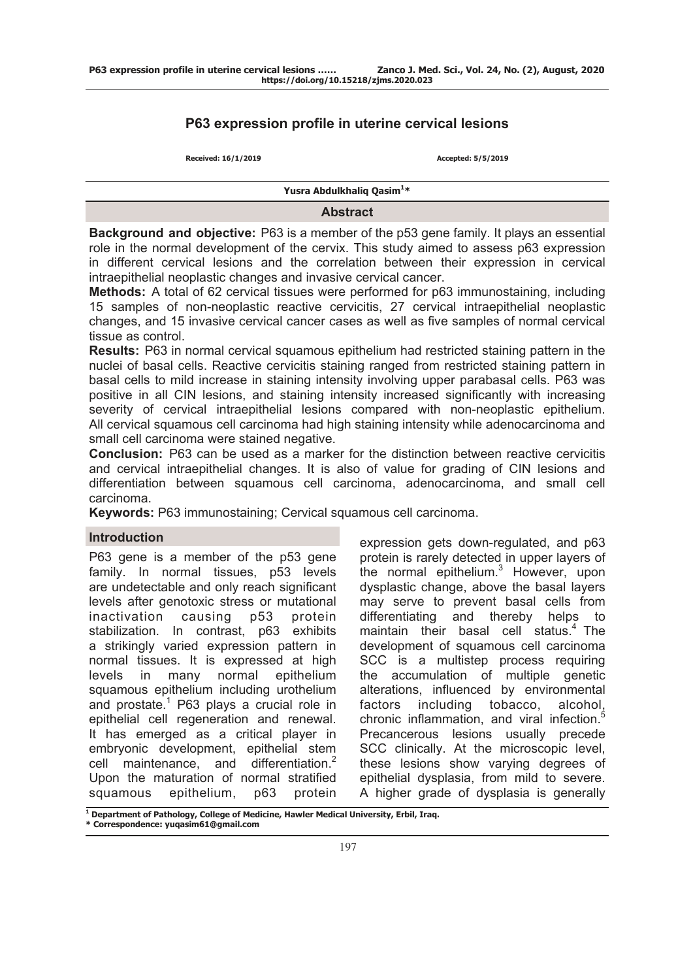# **P63 expression profile in uterine cervical lesions**

**Received: 16/1/2019 Accepted: 5/5/2019**

**Yusra Abdulkhaliq Qasim1 \***

### **Abstract**

**Background and objective:** P63 is a member of the p53 gene family. It plays an essential role in the normal development of the cervix. This study aimed to assess p63 expression in different cervical lesions and the correlation between their expression in cervical intraepithelial neoplastic changes and invasive cervical cancer.

**Methods:** A total of 62 cervical tissues were performed for p63 immunostaining, including 15 samples of non-neoplastic reactive cervicitis, 27 cervical intraepithelial neoplastic changes, and 15 invasive cervical cancer cases as well as five samples of normal cervical tissue as control.

**Results:** P63 in normal cervical squamous epithelium had restricted staining pattern in the nuclei of basal cells. Reactive cervicitis staining ranged from restricted staining pattern in basal cells to mild increase in staining intensity involving upper parabasal cells. P63 was positive in all CIN lesions, and staining intensity increased significantly with increasing severity of cervical intraepithelial lesions compared with non-neoplastic epithelium. All cervical squamous cell carcinoma had high staining intensity while adenocarcinoma and small cell carcinoma were stained negative.

**Conclusion:** P63 can be used as a marker for the distinction between reactive cervicitis and cervical intraepithelial changes. It is also of value for grading of CIN lesions and differentiation between squamous cell carcinoma, adenocarcinoma, and small cell carcinoma.

**Keywords:** P63 immunostaining; Cervical squamous cell carcinoma.

## **Introduction**

P63 gene is a member of the p53 gene family. In normal tissues, p53 levels are undetectable and only reach significant levels after genotoxic stress or mutational inactivation causing p53 protein stabilization. In contrast, p63 exhibits a strikingly varied expression pattern in normal tissues. It is expressed at high levels in many normal epithelium squamous epithelium including urothelium and prostate.<sup>1</sup> P63 plays a crucial role in epithelial cell regeneration and renewal. It has emerged as a critical player in embryonic development, epithelial stem cell maintenance, and differentiation.<sup>2</sup> Upon the maturation of normal stratified squamous epithelium, p63 protein

expression gets down-regulated, and p63 protein is rarely detected in upper layers of the normal epithelium. $3$  However, upon dysplastic change, above the basal layers may serve to prevent basal cells from differentiating and thereby helps to maintain their basal cell status. $4$  The development of squamous cell carcinoma SCC is a multistep process requiring the accumulation of multiple genetic alterations, influenced by environmental factors including tobacco, alcohol, chronic inflammation, and viral infection.<sup>5</sup> Precancerous lesions usually precede SCC clinically. At the microscopic level, these lesions show varying degrees of epithelial dysplasia, from mild to severe. A higher grade of dysplasia is generally

**<sup>1</sup> Department of Pathology, College of Medicine, Hawler Medical University, Erbil, Iraq. \* Correspondence: yuqasim61@gmail.com**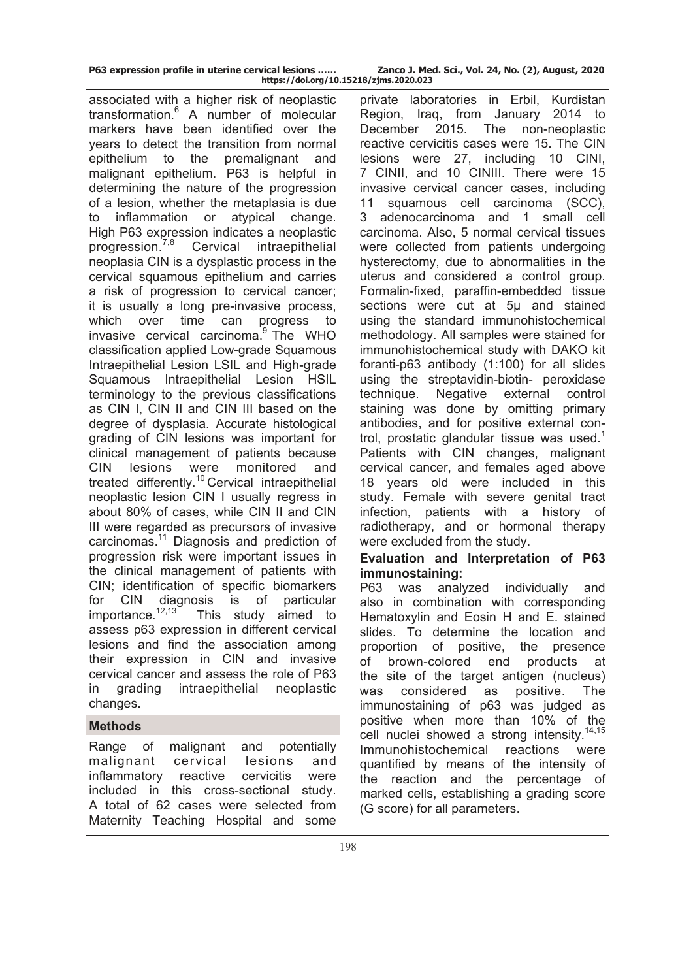|  |  | P63 expression profile in uterine cervical lesions |  |
|--|--|----------------------------------------------------|--|
|  |  | https://doi.org/10.15                              |  |

associated with a higher risk of neoplastic transformation.<sup>6</sup> A number of molecular markers have been identified over the years to detect the transition from normal epithelium to the premalignant and malignant epithelium. P63 is helpful in determining the nature of the progression of a lesion, whether the metaplasia is due to inflammation or atypical change. High P63 expression indicates a neoplastic progression.7,8 Cervical intraepithelial neoplasia CIN is a dysplastic process in the cervical squamous epithelium and carries a risk of progression to cervical cancer; it is usually a long pre-invasive process, which over time can progress to invasive cervical carcinoma. $9$  The WHO classification applied Low-grade Squamous Intraepithelial Lesion LSIL and High-grade Squamous Intraepithelial Lesion HSIL terminology to the previous classifications as CIN I, CIN II and CIN III based on the degree of dysplasia. Accurate histological grading of CIN lesions was important for clinical management of patients because CIN lesions were monitored and treated differently.<sup>10</sup> Cervical intraepithelial neoplastic lesion CIN I usually regress in about 80% of cases, while CIN II and CIN III were regarded as precursors of invasive carcinomas.11 Diagnosis and prediction of progression risk were important issues in the clinical management of patients with CIN; identification of specific biomarkers for CIN diagnosis is of particular importance.<sup>12,13</sup> This study aimed to This study aimed to assess p63 expression in different cervical lesions and find the association among their expression in CIN and invasive cervical cancer and assess the role of P63 in grading intraepithelial neoplastic changes.

# **Methods**

Range of malignant and potentially malignant cervical lesions and inflammatory reactive cervicitis were included in this cross-sectional study. A total of 62 cases were selected from Maternity Teaching Hospital and some

private laboratories in Erbil, Kurdistan Region, Iraq, from January 2014 to December 2015. The non-neoplastic reactive cervicitis cases were 15. The CIN lesions were 27, including 10 CINI, 7 CINII, and 10 CINIII. There were 15 invasive cervical cancer cases, including 11 squamous cell carcinoma (SCC), 3 adenocarcinoma and 1 small cell carcinoma. Also, 5 normal cervical tissues were collected from patients undergoing hysterectomy, due to abnormalities in the uterus and considered a control group. Formalin-fixed, paraffin-embedded tissue sections were cut at 5µ and stained using the standard immunohistochemical methodology. All samples were stained for immunohistochemical study with DAKO kit foranti-p63 antibody (1:100) for all slides using the streptavidin-biotin- peroxidase technique. Negative external control staining was done by omitting primary antibodies, and for positive external control, prostatic glandular tissue was used.<sup>1</sup> Patients with CIN changes, malignant cervical cancer, and females aged above 18 years old were included in this study. Female with severe genital tract infection, patients with a history of radiotherapy, and or hormonal therapy were excluded from the study.

# **Evaluation and Interpretation of P63 immunostaining:**

P63 was analyzed individually and also in combination with corresponding Hematoxylin and Eosin H and E. stained slides. To determine the location and proportion of positive, the presence of brown-colored end products at the site of the target antigen (nucleus) was considered as positive. The immunostaining of p63 was judged as positive when more than 10% of the cell nuclei showed a strong intensity.<sup>14,15</sup> Immunohistochemical reactions were quantified by means of the intensity of the reaction and the percentage of marked cells, establishing a grading score (G score) for all parameters.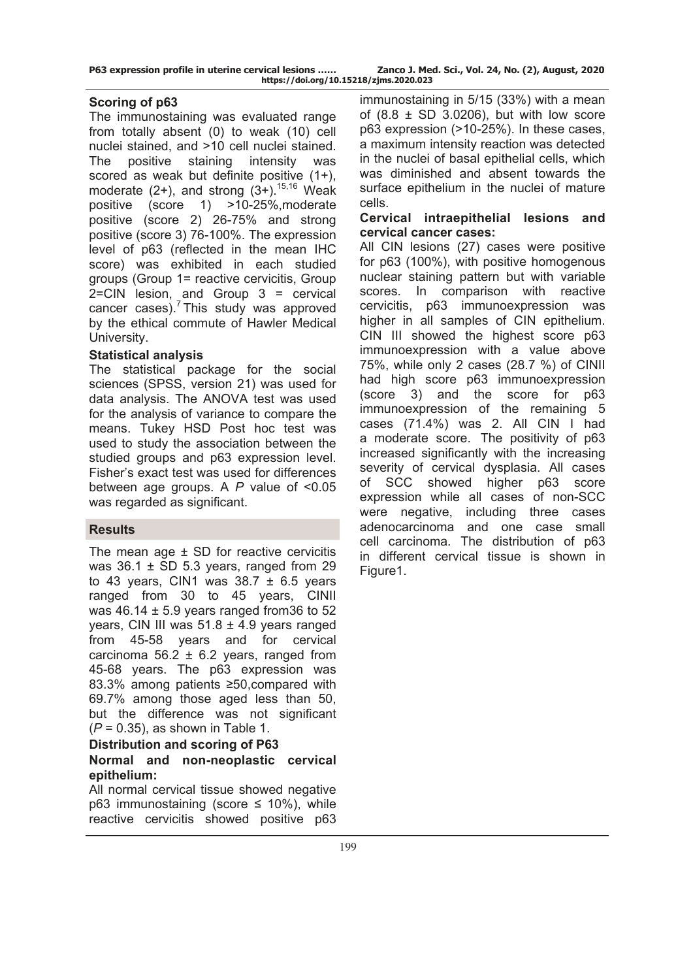|  |  | P63 expression profile in uterine cervical lesions |  |
|--|--|----------------------------------------------------|--|
|  |  | https://doi.org/10.                                |  |

## **Scoring of p63**

The immunostaining was evaluated range from totally absent (0) to weak (10) cell nuclei stained, and >10 cell nuclei stained. The positive staining intensity was scored as weak but definite positive (1+). moderate  $(2+)$ , and strong  $(3+)$ .<sup>15,16</sup> Weak positive (score 1) >10-25%,moderate positive (score 2) 26-75% and strong positive (score 3) 76-100%. The expression level of p63 (reflected in the mean IHC score) was exhibited in each studied groups (Group 1= reactive cervicitis, Group 2=CIN lesion, and Group 3 = cervical cancer cases). $<sup>7</sup>$  This study was approved</sup> by the ethical commute of Hawler Medical University.

## **Statistical analysis**

The statistical package for the social sciences (SPSS, version 21) was used for data analysis. The ANOVA test was used for the analysis of variance to compare the means. Tukey HSD Post hoc test was used to study the association between the studied groups and p63 expression level. Fisher's exact test was used for differences between age groups. A *P* value of <0.05 was regarded as significant.

## **Results**

The mean age  $\pm$  SD for reactive cervicitis was  $36.1 \pm SD$  5.3 years, ranged from 29 to 43 years, CIN1 was  $38.7 \pm 6.5$  years ranged from 30 to 45 years, CINII was  $46.14 \pm 5.9$  years ranged from 36 to 52 years, CIN III was  $51.8 \pm 4.9$  years ranged from 45-58 years and for cervical carcinoma 56.2  $\pm$  6.2 years, ranged from 45-68 years. The p63 expression was 83.3% among patients ≥50,compared with 69.7% among those aged less than 50, but the difference was not significant (*P* = 0.35), as shown in Table 1.

# **Distribution and scoring of P63**

## **Normal and non-neoplastic cervical epithelium:**

All normal cervical tissue showed negative p63 immunostaining (score  $\leq$  10%), while reactive cervicitis showed positive p63

immunostaining in 5/15 (33%) with a mean of  $(8.8 \pm SD \ 3.0206)$ , but with low score p63 expression (>10-25%). In these cases, a maximum intensity reaction was detected in the nuclei of basal epithelial cells, which was diminished and absent towards the surface epithelium in the nuclei of mature cells.

### **Cervical intraepithelial lesions and cervical cancer cases:**

All CIN lesions (27) cases were positive for p63 (100%), with positive homogenous nuclear staining pattern but with variable scores. In comparison with reactive cervicitis, p63 immunoexpression was higher in all samples of CIN epithelium. CIN III showed the highest score p63 immunoexpression with a value above 75%, while only 2 cases (28.7 %) of CINII had high score p63 immunoexpression (score 3) and the score for p63 immunoexpression of the remaining 5 cases (71.4%) was 2. All CIN I had a moderate score. The positivity of p63 increased significantly with the increasing severity of cervical dysplasia. All cases of SCC showed higher p63 score expression while all cases of non-SCC were negative, including three cases adenocarcinoma and one case small cell carcinoma. The distribution of p63 in different cervical tissue is shown in Figure<sub>1.</sub>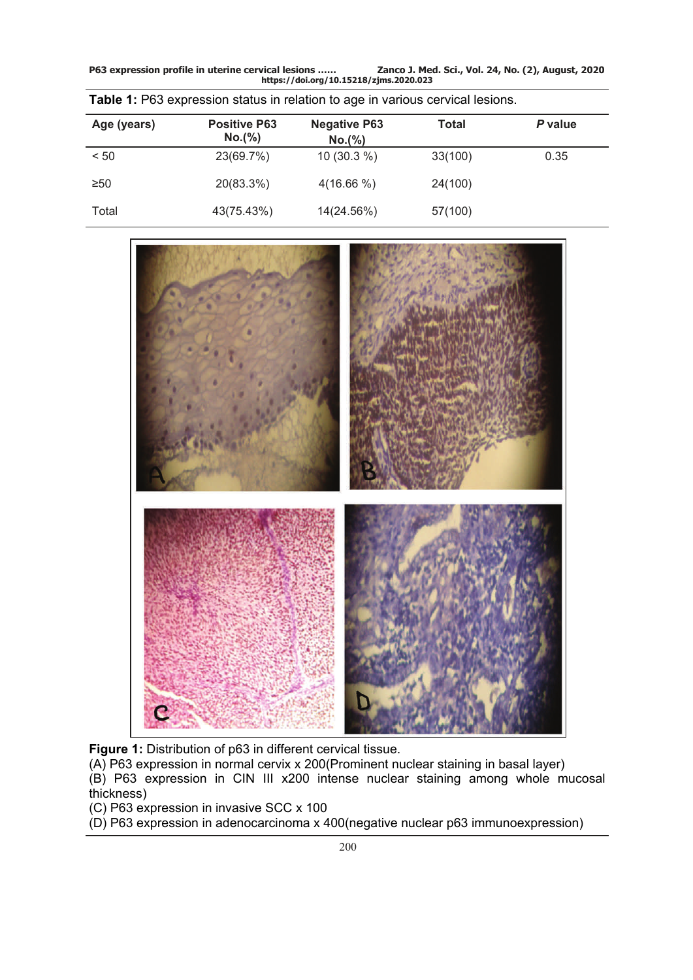**P63 expression profile in uterine cervical lesions …… Zanco J. Med. Sci., Vol. 24, No. (2), August, 2020 https://doi.org/10.15218/zjms.2020.023**

| Age (years) | <b>Positive P63</b><br>No.(%) | <b>Negative P63</b><br>No.(%) | Total   | P value |
|-------------|-------------------------------|-------------------------------|---------|---------|
| < 50        | 23(69.7%)                     | $10(30.3\%)$                  | 33(100) | 0.35    |
| $\geq 50$   | 20(83.3%)                     | $4(16.66\%)$                  | 24(100) |         |
| Total       | 43(75.43%)                    | 14(24.56%)                    | 57(100) |         |

|  |  |  | Table 1: P63 expression status in relation to age in various cervical lesions. |  |
|--|--|--|--------------------------------------------------------------------------------|--|
|  |  |  |                                                                                |  |



**Figure 1:** Distribution of p63 in different cervical tissue.

(A) P63 expression in normal cervix x 200(Prominent nuclear staining in basal layer)

(B) P63 expression in CIN III x200 intense nuclear staining among whole mucosal thickness)

(C) P63 expression in invasive SCC x 100

(D) P63 expression in adenocarcinoma x 400(negative nuclear p63 immunoexpression)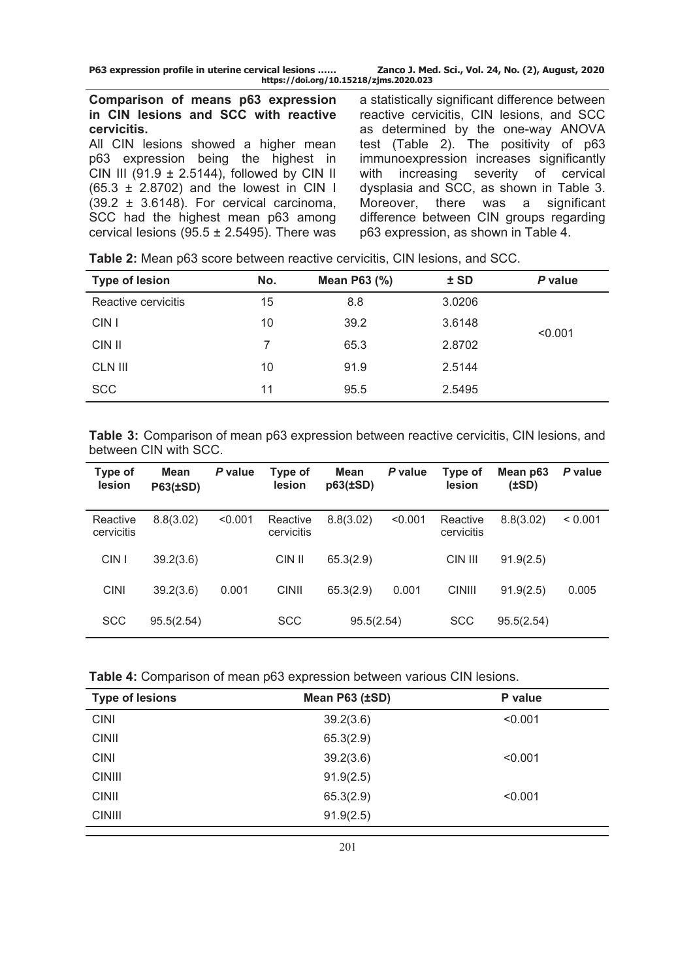**P63 expression profile in uterine cervical lesions …… Zanco J. Med. Sci., Vol. 24, No. (2), August, 2020 https://doi.org/10.15218/zjms.2020.023**

### **Comparison of means p63 expression in CIN lesions and SCC with reactive cervicitis.**

All CIN lesions showed a higher mean p63 expression being the highest in CIN III (91.9  $\pm$  2.5144), followed by CIN II (65.3 ± 2.8702) and the lowest in CIN I  $(39.2 \pm 3.6148)$ . For cervical carcinoma, SCC had the highest mean p63 among cervical lesions ( $95.5 \pm 2.5495$ ). There was

a statistically significant difference between reactive cervicitis, CIN lesions, and SCC as determined by the one-way ANOVA test (Table 2). The positivity of p63 immunoexpression increases significantly with increasing severity of cervical dysplasia and SCC, as shown in Table 3. Moreover, there was a significant difference between CIN groups regarding p63 expression, as shown in Table 4.

**Table 2:** Mean p63 score between reactive cervicitis, CIN lesions, and SCC.

| No. | Mean P63 (%) | $±$ SD | P value |
|-----|--------------|--------|---------|
| 15  | 8.8          | 3.0206 |         |
| 10  | 39.2         | 3.6148 | < 0.001 |
|     | 65.3         | 2.8702 |         |
| 10  | 91.9         | 2.5144 |         |
| 11  | 95.5         | 2.5495 |         |
|     |              |        |         |

**Table 3:** Comparison of mean p63 expression between reactive cervicitis, CIN lesions, and between CIN with SCC.

| Type of<br>lesion      | Mean<br><b>P63(±SD)</b> | P value | Type of<br><b>lesion</b> | Mean<br>$p63(\pm SD)$ | P value | Type of<br>lesion      | Mean p63<br>$(\pm SD)$ | P value |
|------------------------|-------------------------|---------|--------------------------|-----------------------|---------|------------------------|------------------------|---------|
| Reactive<br>cervicitis | 8.8(3.02)               | < 0.001 | Reactive<br>cervicitis   | 8.8(3.02)             | < 0.001 | Reactive<br>cervicitis | 8.8(3.02)              | < 0.001 |
| CIN I                  | 39.2(3.6)               |         | CIN II                   | 65.3(2.9)             |         | CIN III                | 91.9(2.5)              |         |
| <b>CINI</b>            | 39.2(3.6)               | 0.001   | <b>CINII</b>             | 65.3(2.9)             | 0.001   | <b>CINIII</b>          | 91.9(2.5)              | 0.005   |
| <b>SCC</b>             | 95.5(2.54)              |         | <b>SCC</b>               | 95.5(2.54)            |         | <b>SCC</b>             | 95.5(2.54)             |         |

|  | <b>Table 4:</b> Comparison of mean p63 expression between various CIN lesions. |  |  |
|--|--------------------------------------------------------------------------------|--|--|
|  |                                                                                |  |  |

| <b>Type of lesions</b> | Mean P63 (±SD) | P value |
|------------------------|----------------|---------|
| <b>CINI</b>            | 39.2(3.6)      | < 0.001 |
| <b>CINII</b>           | 65.3(2.9)      |         |
| <b>CINI</b>            | 39.2(3.6)      | < 0.001 |
| <b>CINIII</b>          | 91.9(2.5)      |         |
| <b>CINII</b>           | 65.3(2.9)      | < 0.001 |
| <b>CINIII</b>          | 91.9(2.5)      |         |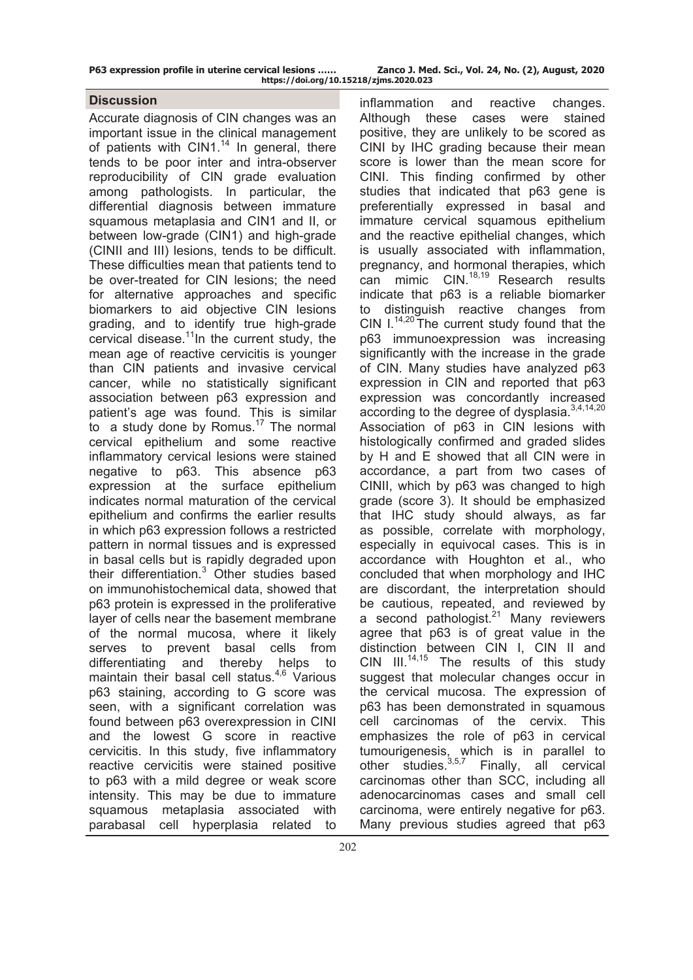| P63 expression profile in uterine cervical lesions | Zanco J. Med. Sci., Vol. 24, No. (2), August, 2020 |
|----------------------------------------------------|----------------------------------------------------|
| https://doi.org/10.15218/zjms.2020.023             |                                                    |

## **Discussion**

Accurate diagnosis of CIN changes was an important issue in the clinical management of patients with CIN1.<sup>14</sup> In general, there tends to be poor inter and intra-observer reproducibility of CIN grade evaluation among pathologists. In particular, the differential diagnosis between immature squamous metaplasia and CIN1 and II, or between low-grade (CIN1) and high-grade (CINII and III) lesions, tends to be difficult. These difficulties mean that patients tend to be over-treated for CIN lesions; the need for alternative approaches and specific biomarkers to aid objective CIN lesions grading, and to identify true high-grade cervical disease. $11$ In the current study, the mean age of reactive cervicitis is younger than CIN patients and invasive cervical cancer, while no statistically significant association between p63 expression and patient's age was found. This is similar to a study done by Romus.<sup>17</sup> The normal cervical epithelium and some reactive inflammatory cervical lesions were stained negative to p63. This absence p63 expression at the surface epithelium indicates normal maturation of the cervical epithelium and confirms the earlier results in which p63 expression follows a restricted pattern in normal tissues and is expressed in basal cells but is rapidly degraded upon their differentiation.<sup>3</sup> Other studies based on immunohistochemical data, showed that p63 protein is expressed in the proliferative layer of cells near the basement membrane of the normal mucosa, where it likely serves to prevent basal cells from differentiating and thereby helps to maintain their basal cell status. $4,6$  Various p63 staining, according to G score was seen, with a significant correlation was found between p63 overexpression in CINI and the lowest G score in reactive cervicitis. In this study, five inflammatory reactive cervicitis were stained positive to p63 with a mild degree or weak score intensity. This may be due to immature squamous metaplasia associated with parabasal cell hyperplasia related to

inflammation and reactive changes. Although these cases were stained positive, they are unlikely to be scored as CINI by IHC grading because their mean score is lower than the mean score for CINI. This finding confirmed by other studies that indicated that p63 gene is preferentially expressed in basal and immature cervical squamous [epithelium](https://www.sciencedirect.com/topics/medicine-and-dentistry/epithelium) and the reactive epithelial changes, which is usually associated with inflammation, pregnancy, and hormonal therapies, which can mimic CIN.<sup>18,19</sup> Research results indicate that p63 is a reliable biomarker to distinguish reactive changes from CIN  $I^{14,20}$  The current study found that the p63 immunoexpression was increasing significantly with the increase in the grade of CIN. Many studies have analyzed p63 expression in CIN and reported that p63 expression was concordantly increased according to the degree of dysplasia.<sup>3,4,14,20</sup> Association of p63 in CIN lesions with histologically confirmed and graded slides by H and E showed that all CIN were in accordance, a part from two cases of CINII, which by p63 was changed to high grade (score 3). It should be emphasized that IHC study should always, as far as possible, correlate with morphology, especially in equivocal cases. This is in accordance with Houghton et al., who concluded that when morphology and IHC are discordant, the interpretation should be cautious, repeated, and reviewed by a second pathologist. $21$  Many reviewers agree that p63 is of great value in the distinction between CIN I, CIN II and  $CIN$   $III.^{14,15}$  The results of this study suggest that molecular changes occur in the cervical mucosa. The expression of p63 has been demonstrated in squamous cell carcinomas of the cervix. This emphasizes the role of p63 in cervical tumourigenesis, which is in parallel to other studies.<sup>3,5,7</sup> Finally, all cervical carcinomas other than SCC, including all adenocarcinomas cases and small cell carcinoma, were entirely negative for p63. Many previous studies agreed that p63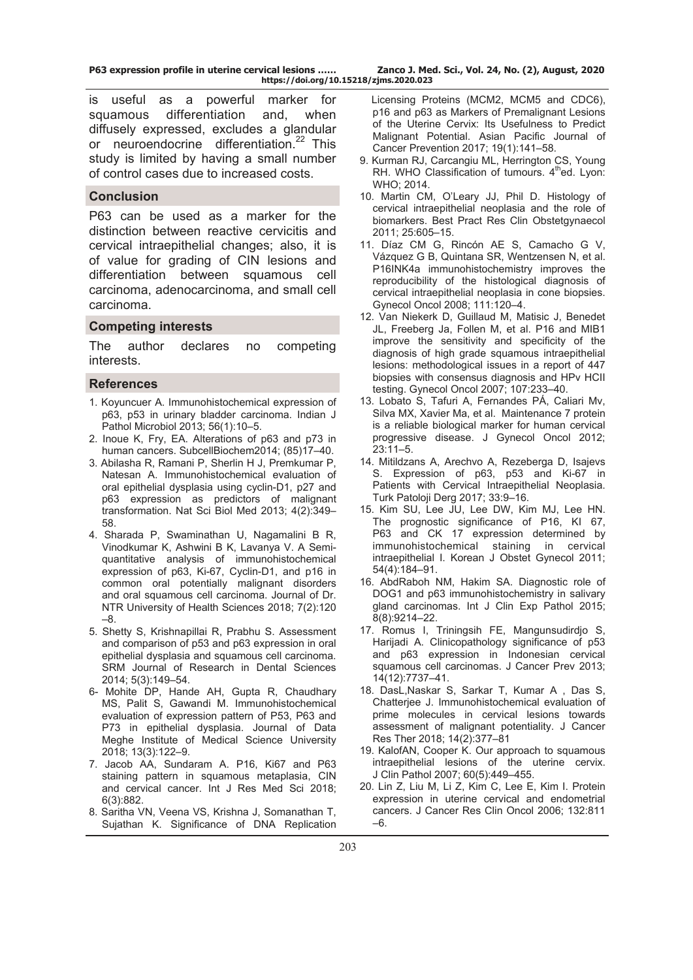**P63 expression profile in uterine cervical lesions …… Zanco J. Med. Sci., Vol. 24, No. (2), August, 2020 https://doi.org/10.15218/zjms.2020.023**

is useful as a powerful marker for squamous differentiation and, when diffusely expressed, excludes a glandular or [neuroendocrine differentiation](https://www.sciencedirect.com/topics/medicine-and-dentistry/neuroendocrine-differentiation).<sup>22</sup> This study is limited by having a small number of control cases due to increased costs.

### **Conclusion**

P63 can be used as a marker for the distinction between reactive cervicitis and cervical intraepithelial changes; also, it is of value for grading of CIN lesions and differentiation between squamous cell carcinoma, adenocarcinoma, and small cell carcinoma.

#### **Competing interests**

The author declares no competing interests.

### **References**

- 1. Koyuncuer [A. I](http://www.ijpmonline.org/searchresult.asp?search=&author=Ali+Koyuncuer&journal=Y&but_search=Search&entries=10&pg=1&s=0)mmunohistochemical expression of p63, p53 in urinary bladder carcinoma. Indian J Pathol Microbiol 2013; 56(1):10–5.
- 2. Inoue K, Fry, EA. Alterations of p63 and p73 in human cancers. SubcellBiochem2014; (85)17–40.
- 3. Abilasha R, Ramani P, Sherlin H J, Premkumar P, Natesan A. Immunohistochemical evaluation of oral epithelial dysplasia using cyclin-D1, p27 and p63 expression as predictors of malignant transformation. Nat Sci Biol Med 2013; 4(2):349– 58.
- 4. Sharada P, Swaminathan U, Nagamalini B R, Vinodkumar K, Ashwini B K, Lavanya [V.](http://www.jdrntruhs.org/searchresult.asp?search=&author=V+Lavanya&journal=Y&but_search=Search&entries=10&pg=1&s=0) A Semiquantitative analysis of immunohistochemical expression of p63, Ki-67, Cyclin-D1, and p16 in common oral potentially malignant disorders and oral squamous cell carcinoma. Journal of Dr. NTR University of Health Sciences 2018; 7(2):120 –8.
- 5. Shetty S, Krishnapillai R, Prabhu [S.](http://www.srmjrds.in/searchresult.asp?search=&author=Sudeendra+Prabhu&journal=Y&but_search=Search&entries=10&pg=1&s=0) Assessment and comparison of p53 and p63 expression in oral epithelial dysplasia and squamous cell carcinoma. SRM Journal of Research in Dental Sciences 2014; 5(3):149–54.
- 6- Mohite DP, Hande AH, Gupta R, Chaudhary MS, Palit S, Gawandi M. Immunohistochemical evaluation of expression pattern of P53, P63 and P73 in epithelial dysplasia. Journal of Data Meghe Institute of Medical Science University 2018; 13(3):122–9.
- 7. Jacob AA, Sundaram A. P16, Ki67 and P63 staining pattern in squamous metaplasia, CIN and cervical cancer. Int J Res Med Sci 2018; 6(3):882.
- 8. Saritha VN, Veena VS, Krishna J, Somanathan T, Sujathan K. Significance of DNA Replication

 Licensing Proteins (MCM2, MCM5 and CDC6), p16 and p63 as Markers of Premalignant Lesions of the Uterine Cervix: Its Usefulness to Predict Malignant Potential. Asian Pacific Journal of Cancer Prevention 2017; 19(1):141–58.

- 9. Kurman RJ, Carcangiu ML, Herrington CS, Young RH. WHO Classification of tumours.  $4<sup>th</sup>$ ed. Lyon: WHO; 2014.
- 10. Martin CM, O'Leary JJ, Phil D. Histology of cervical intraepithelial neoplasia and the role of biomarkers. Best Pract Res Clin Obstetgynaecol 2011; 25:605–15.
- 11. Díaz CM G, Rincón AE S, Camacho G V, Vázquez G B, Quintana SR, Wentzensen N, et al. P16INK4a immunohistochemistry improves the reproducibility of the histological diagnosis of cervical intraepithelial neoplasia in cone biopsies. Gynecol Oncol 2008; 111:120–4.
- 12. Van Niekerk D, Guillaud M, Matisic J, Benedet JL, Freeberg Ja, Follen M, et al. P16 and MIB1 improve the sensitivity and specificity of the diagnosis of high grade squamous intraepithelial lesions: methodological issues in a report of 447 biopsies with consensus diagnosis and HPv HCII testing. Gynecol Oncol 2007; 107:233–40.
- 13. Lobato S, Tafuri A, Fernandes PÁ, Caliari Mv, Silva MX, Xavier Ma, et al. Maintenance 7 protein is a reliable biological marker for human cervical progressive disease. J Gynecol Oncol 2012; 23:11–5.
- 14. Mitildzans A, Arechvo A, Rezeberga D, Isajevs S. Expression of p63, p53 and Ki-67 in Patients with Cervical Intraepithelial Neoplasia. Turk Patoloji Derg 2017; 33:9–16.
- 15. Kim SU, Lee JU, Lee DW, Kim MJ, Lee HN. The prognostic significance of P16, KI 67, P63 and CK 17 expression determined by immunohistochemical staining in cervical intraepithelial I. Korean J Obstet Gynecol 2011; 54(4):184–91.
- 16. AbdRaboh [NM](https://www.ncbi.nlm.nih.gov/pubmed/?term=Abd%20Raboh%20NM%5BAuthor%5D&cauthor=true&cauthor_uid=26464669), Hakim [SA](https://www.ncbi.nlm.nih.gov/pubmed/?term=Hakim%20SA%5BAuthor%5D&cauthor=true&cauthor_uid=26464669). Diagnostic role of DOG1 and p63 immunohistochemistry in salivary gland carcinomas. Int J Clin Exp Pathol 2015; 8(8):9214–22.
- 17. [Romus I,](https://www.ncbi.nlm.nih.gov/pubmed/?term=Romus%20I%5BAuthor%5D&cauthor=true&cauthor_uid=24460361) [Triningsih FE](https://www.ncbi.nlm.nih.gov/pubmed/?term=Triningsih%20FE%5BAuthor%5D&cauthor=true&cauthor_uid=24460361), [Mangunsudirdjo S](https://www.ncbi.nlm.nih.gov/pubmed/?term=Mangunsudirdjo%20S%5BAuthor%5D&cauthor=true&cauthor_uid=24460361), [Harijadi A.](https://www.ncbi.nlm.nih.gov/pubmed/?term=Harijadi%20A%5BAuthor%5D&cauthor=true&cauthor_uid=24460361) Clinicopathology significance of p53 and p63 expression in Indonesian cervical squamous cell carcinomas. J Cancer Prev 2013; 14(12):7737–41.
- 18. DasL,[Naskar](http://www.cancerjournal.net/searchresult.asp?search=&author=Sukla+Naskar&journal=Y&but_search=Search&entries=10&pg=1&s=0) S, [Sarkar](http://www.cancerjournal.net/searchresult.asp?search=&author=Tandra+Sarkar&journal=Y&but_search=Search&entries=10&pg=1&s=0) T, [Kumar A](http://www.cancerjournal.net/searchresult.asp?search=&author=Ashok+Kumar+Maiti&journal=Y&but_search=Search&entries=10&pg=1&s=0) , [Das](http://www.cancerjournal.net/searchresult.asp?search=&author=Soumen+Das&journal=Y&but_search=Search&entries=10&pg=1&s=0) S, Chatterjee [J. I](http://www.cancerjournal.net/searchresult.asp?search=&author=Jyotirmoy+Chatterjee&journal=Y&but_search=Search&entries=10&pg=1&s=0)mmunohistochemical evaluation of prime molecules in cervical lesions towards assessment of malignant potentiality. J Cancer Res Ther 2018; 14(2):377–81
- 19. KalofAN, Cooper K. Our approach to squamous intraepithelial lesions of the uterine cervix. J Clin Pathol 2007; 60(5):449–455.
- 20. Lin Z, Liu M, Li Z, Kim C, Lee E, Kim I. Protein expression in uterine cervical and endometrial cancers. J Cancer Res Clin Oncol 2006; 132:811 –6.